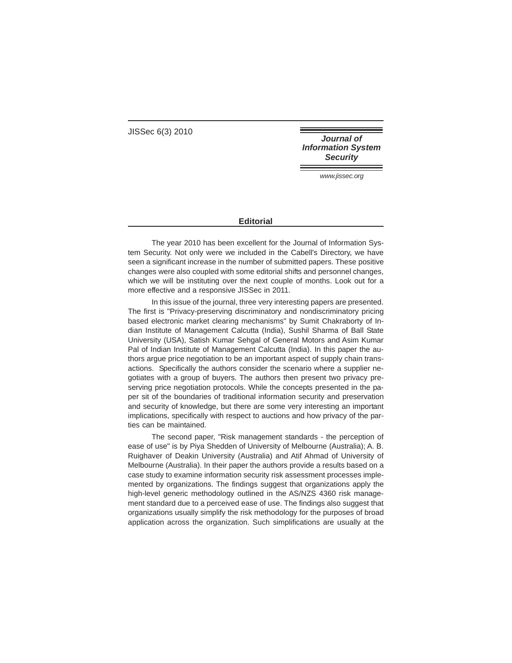JISSec 6(3) 2010

**Journal of Information System Security** 

www.jissec.org

## **Editorial**

The year 2010 has been excellent for the Journal of Information System Security. Not only were we included in the Cabell's Directory, we have seen a significant increase in the number of submitted papers. These positive changes were also coupled with some editorial shifts and personnel changes, which we will be instituting over the next couple of months. Look out for a more effective and a responsive JISSec in 2011.

In this issue of the journal, three very interesting papers are presented. The first is "Privacy-preserving discriminatory and nondiscriminatory pricing based electronic market clearing mechanisms" by Sumit Chakraborty of Indian Institute of Management Calcutta (India), Sushil Sharma of Ball State University (USA), Satish Kumar Sehgal of General Motors and Asim Kumar Pal of Indian Institute of Management Calcutta (India). In this paper the authors argue price negotiation to be an important aspect of supply chain transactions. Specifically the authors consider the scenario where a supplier negotiates with a group of buyers. The authors then present two privacy preserving price negotiation protocols. While the concepts presented in the paper sit of the boundaries of traditional information security and preservation and security of knowledge, but there are some very interesting an important implications, specifically with respect to auctions and how privacy of the parties can be maintained.

The second paper, "Risk management standards - the perception of ease of use" is by Piya Shedden of University of Melbourne (Australia); A. B. Ruighaver of Deakin University (Australia) and Atif Ahmad of University of Melbourne (Australia). In their paper the authors provide a results based on a case study to examine information security risk assessment processes implemented by organizations. The findings suggest that organizations apply the high-level generic methodology outlined in the AS/NZS 4360 risk management standard due to a perceived ease of use. The findings also suggest that organizations usually simplify the risk methodology for the purposes of broad application across the organization. Such simplifications are usually at the